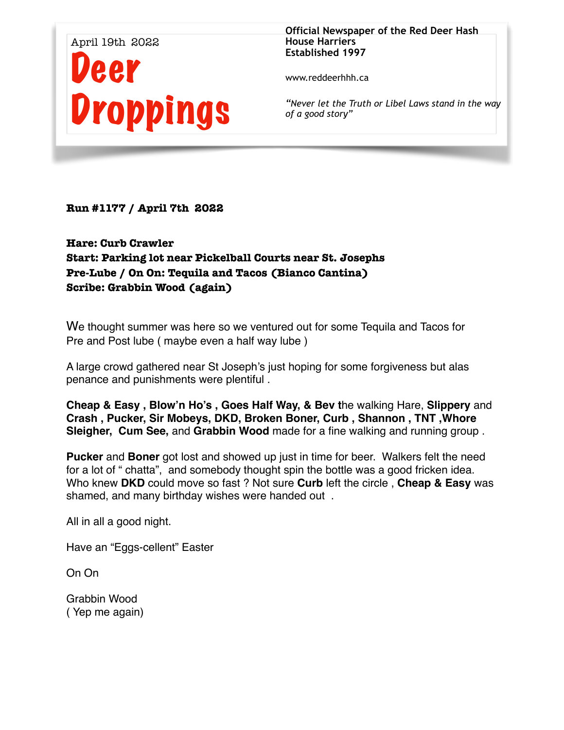

**Official Newspaper of the Red Deer Hash House Harriers Established 1997** 

www.reddeerhhh.ca

*"Never let the Truth or Libel Laws stand in the way of a good story"*

**Run #1177 / April 7th 2022** 

# **Hare: Curb Crawler Start: Parking lot near Pickelball Courts near St. Josephs Pre-Lube / On On: Tequila and Tacos (Bianco Cantina) Scribe: Grabbin Wood (again)**

We thought summer was here so we ventured out for some Tequila and Tacos for Pre and Post lube ( maybe even a half way lube )

A large crowd gathered near St Joseph's just hoping for some forgiveness but alas penance and punishments were plentiful .

**Cheap & Easy , Blow'n Ho's , Goes Half Way, & Bev t**he walking Hare, **Slippery** and **Crash , Pucker, Sir Mobeys, DKD, Broken Boner, Curb , Shannon , TNT ,Whore Sleigher, Cum See,** and **Grabbin Wood** made for a fine walking and running group .

**Pucker** and **Boner** got lost and showed up just in time for beer. Walkers felt the need for a lot of " chatta", and somebody thought spin the bottle was a good fricken idea. Who knew **DKD** could move so fast ? Not sure **Curb** left the circle , **Cheap & Easy** was shamed, and many birthday wishes were handed out .

All in all a good night.

Have an "Eggs-cellent" Easter

On On

Grabbin Wood ( Yep me again)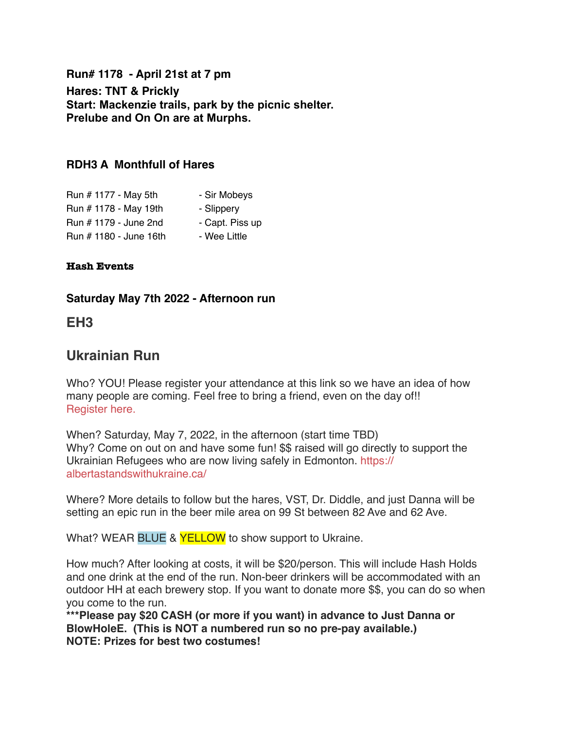**Run# 1178 - April 21st at 7 pm Hares: TNT & Prickly Start: Mackenzie trails, park by the picnic shelter. Prelube and On On are at Murphs.** 

### **RDH3 A Monthfull of Hares**

| Run # 1177 - May 5th   | - Sir Mobeys    |
|------------------------|-----------------|
| Run # 1178 - May 19th  | - Slippery      |
| Run # 1179 - June 2nd  | - Capt. Piss up |
| Run # 1180 - June 16th | - Wee Little    |

#### **Hash Events**

#### **Saturday May 7th 2022 - Afternoon run**

### **EH3**

# **Ukrainian Run**

Who? YOU! Please register your attendance at this link so we have an idea of how many people are coming. Feel free to bring a friend, even on the day of!! [Register here.](https://docs.google.com/forms/d/e/1FAIpQLScBgjeYecSwHXG1xYhUQHELBJui1mUWIiKgvJKvhIYn0R93BQ/viewform?usp=sf_link)

When? Saturday, May 7, 2022, in the afternoon (start time TBD) Why? Come on out on and have some fun! \$\$ raised will go directly to support the Ukrainian Refugees who are now living safely in Edmonton. [https://](https://albertastandswithukraine.ca/) [albertastandswithukraine.ca/](https://albertastandswithukraine.ca/)

Where? More details to follow but the hares, VST, Dr. Diddle, and just Danna will be setting an epic run in the beer mile area on 99 St between 82 Ave and 62 Ave.

What? WEAR BLUE & **YELLOW** to show support to Ukraine.

How much? After looking at costs, it will be \$20/person. This will include Hash Holds and one drink at the end of the run. Non-beer drinkers will be accommodated with an outdoor HH at each brewery stop. If you want to donate more \$\$, you can do so when you come to the run.

**\*\*\*Please pay \$20 CASH (or more if you want) in advance to Just Danna or BlowHoleE. (This is NOT a numbered run so no pre-pay available.) NOTE: Prizes for best two costumes!**